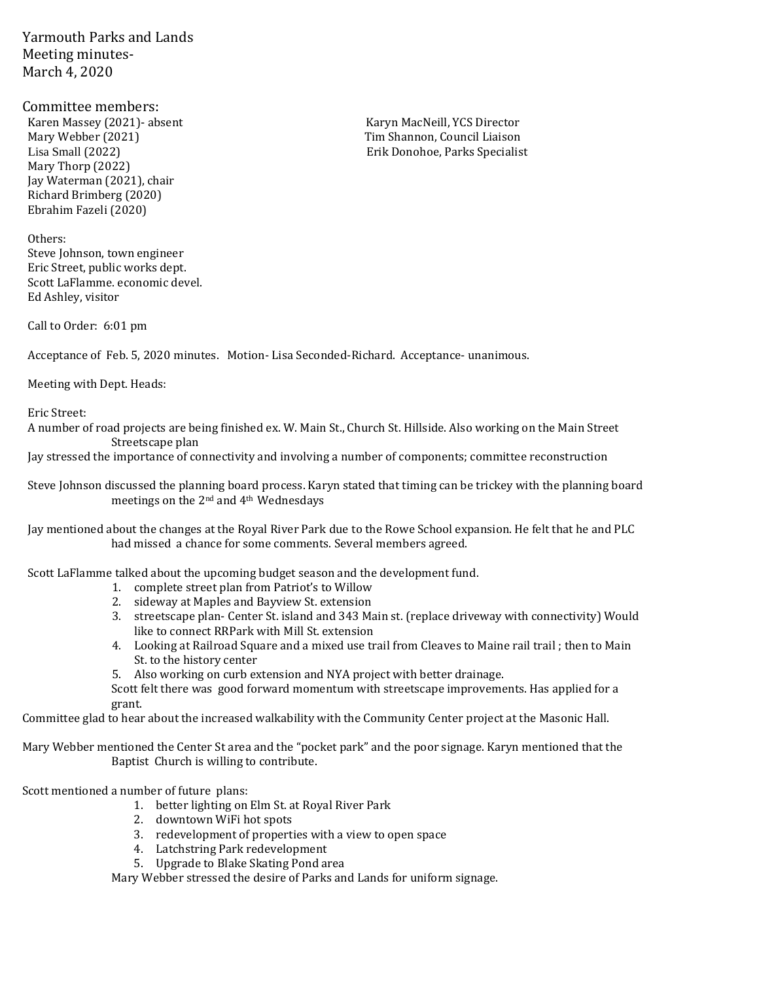Yarmouth Parks and Lands Meeting minutes-March 4, 2020

Committee members: Karen Massey (2021)- absent Karyn MacNeill, YCS Director Mary Webber (2021) Tim Shannon, Council Liaison Mary Thorp (2022) Jay Waterman (2021), chair Richard Brimberg (2020) Ebrahim Fazeli (2020)

Others: Steve Johnson, town engineer Eric Street, public works dept. Scott LaFlamme. economic devel. Ed Ashley, visitor

Call to Order: 6:01 pm

Acceptance of Feb. 5, 2020 minutes. Motion- Lisa Seconded-Richard. Acceptance- unanimous.

Meeting with Dept. Heads:

Eric Street:

A number of road projects are being finished ex. W. Main St., Church St. Hillside. Also working on the Main Street Streetscape plan

Jay stressed the importance of connectivity and involving a number of components; committee reconstruction

Steve Johnson discussed the planning board process. Karyn stated that timing can be trickey with the planning board meetings on the 2nd and 4th Wednesdays

Jay mentioned about the changes at the Royal River Park due to the Rowe School expansion. He felt that he and PLC had missed a chance for some comments. Several members agreed.

Scott LaFlamme talked about the upcoming budget season and the development fund.

- 1. complete street plan from Patriot's to Willow
- 2. sideway at Maples and Bayview St. extension
- 3. streetscape plan- Center St. island and 343 Main st. (replace driveway with connectivity) Would like to connect RRPark with Mill St. extension
- 4. Looking at Railroad Square and a mixed use trail from Cleaves to Maine rail trail ; then to Main St. to the history center

5. Also working on curb extension and NYA project with better drainage.

Scott felt there was good forward momentum with streetscape improvements. Has applied for a grant.

Committee glad to hear about the increased walkability with the Community Center project at the Masonic Hall.

Mary Webber mentioned the Center St area and the "pocket park" and the poor signage. Karyn mentioned that the Baptist Church is willing to contribute.

Scott mentioned a number of future plans:

- 1. better lighting on Elm St. at Royal River Park
- 2. downtown WiFi hot spots
- 3. redevelopment of properties with a view to open space
- 4. Latchstring Park redevelopment
- 5. Upgrade to Blake Skating Pond area

Mary Webber stressed the desire of Parks and Lands for uniform signage.

Lisa Small (2022) Erik Donohoe, Parks Specialist